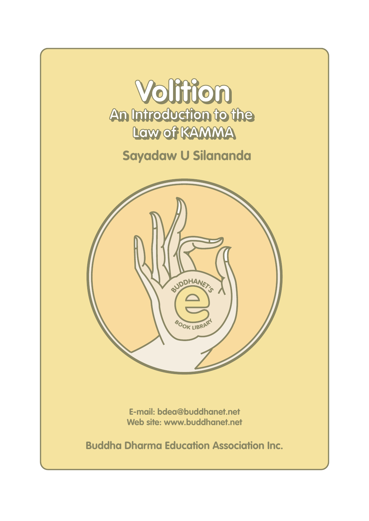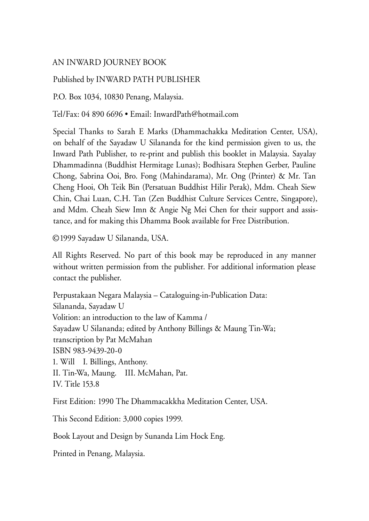### AN INWARD JOURNEY BOOK

#### Published by INWARD PATH PUBLISHER

P.O. Box 1034, 10830 Penang, Malaysia.

Tel/Fax: 04 890 6696 • Email: InwardPath@hotmail.com

Special Thanks to Sarah E Marks (Dhammachakka Meditation Center, USA), on behalf of the Sayadaw U Silananda for the kind permission given to us, the Inward Path Publisher, to re-print and publish this booklet in Malaysia. Sayalay Dhammadinna (Buddhist Hermitage Lunas); Bodhisara Stephen Gerber, Pauline Chong, Sabrina Ooi, Bro. Fong (Mahindarama), Mr. Ong (Printer) & Mr. Tan Cheng Hooi, Oh Teik Bin (Persatuan Buddhist Hilir Perak), Mdm. Cheah Siew Chin, Chai Luan, C.H. Tan (Zen Buddhist Culture Services Centre, Singapore), and Mdm. Cheah Siew Imn & Angie Ng Mei Chen for their support and assistance, and for making this Dhamma Book available for Free Distribution.

© 1999 Sayadaw U Silananda, USA.

All Rights Reserved. No part of this book may be reproduced in any manner without written permission from the publisher. For additional information please contact the publisher.

Perpustakaan Negara Malaysia – Cataloguing-in-Publication Data: Silananda, Sayadaw U Volition: an introduction to the law of Kamma / Sayadaw U Silananda; edited by Anthony Billings & Maung Tin-Wa; transcription by Pat McMahan ISBN 983-9439-20-0 1. Will I. Billings, Anthony. II. Tin-Wa, Maung. III. McMahan, Pat. IV. Title 153.8

First Edition: 1990 The Dhammacakkha Meditation Center, USA.

This Second Edition: 3,000 copies 1999.

Book Layout and Design by Sunanda Lim Hock Eng.

Printed in Penang, Malaysia.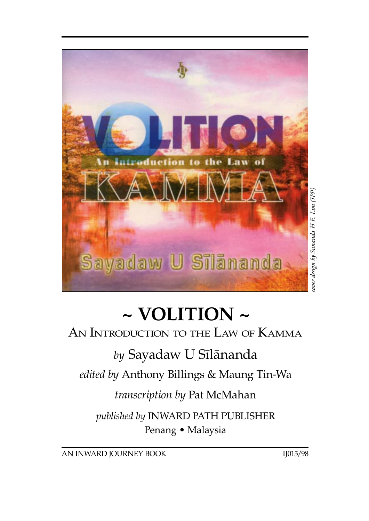

# **~ VOLITION ~**

### An Introduction to the Law of Kamma

### *by* Sayadaw U Sãlànanda

*edited by* Anthony Billings & Maung Tin-Wa

### *transcription by* Pat McMahan

*published by* INWARD PATH PUBLISHER Penang • Malaysia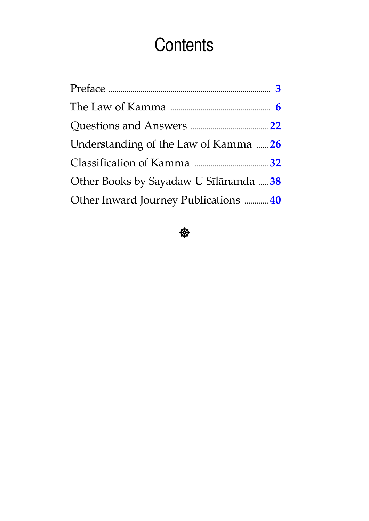## **Contents**

| Understanding of the Law of Kamma  26  |  |
|----------------------------------------|--|
|                                        |  |
| Other Books by Sayadaw U Sīlānanda  38 |  |
| Other Inward Journey Publications  40  |  |

\$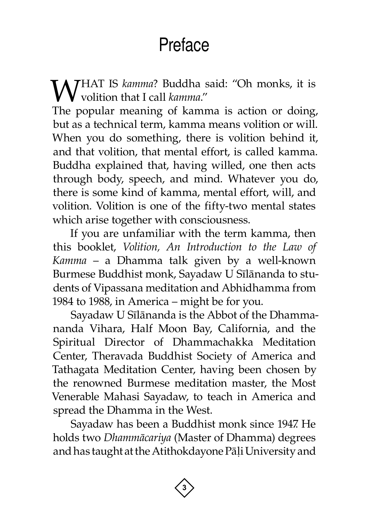## Preface

<span id="page-4-0"></span>**W**HAT IS *kamma*? Buddha said: "Oh monks, it is volition that I call *kamma."* volition that I call *kamma*."

The popular meaning of kamma is action or doing, but as a technical term, kamma means volition or will. When you do something, there is volition behind it, and that volition, that mental effort, is called kamma. Buddha explained that, having willed, one then acts through body, speech, and mind. Whatever you do, there is some kind of kamma, mental effort, will, and volition. Volition is one of the fifty-two mental states which arise together with consciousness.

If you are unfamiliar with the term kamma, then this booklet, *Volition, An Introduction to the Law of Kamma* – a Dhamma talk given by a well-known Burmese Buddhist monk, Sayadaw U Sãlànanda to students of Vipassana meditation and Abhidhamma from 1984 to 1988, in America – might be for you.

Sayadaw U Sãlànanda is the Abbot of the Dhammananda Vihara, Half Moon Bay, California, and the Spiritual Director of Dhammachakka Meditation Center, Theravada Buddhist Society of America and Tathagata Meditation Center, having been chosen by the renowned Burmese meditation master, the Most Venerable Mahasi Sayadaw, to teach in America and spread the Dhamma in the West.

Sayadaw has been a Buddhist monk since 1947. He holds two *Dhammàcariya* (Master of Dhamma) degrees and has taught at the Atithokdayone Pāļi University and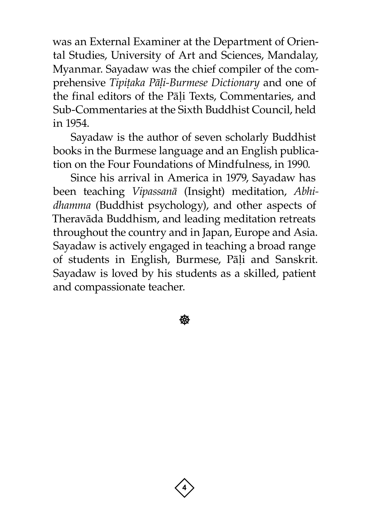was an External Examiner at the Department of Oriental Studies, University of Art and Sciences, Mandalay, Myanmar. Sayadaw was the chief compiler of the comprehensive *Tipițaka Pāḷi-Burmese Dictionary* and one of the final editors of the Pāli Texts, Commentaries, and Sub-Commentaries at the Sixth Buddhist Council, held in 1954.

Sayadaw is the author of seven scholarly Buddhist books in the Burmese language and an English publication on the Four Foundations of Mindfulness, in 1990.

Since his arrival in America in 1979, Sayadaw has been teaching *Vipassanà* (Insight) meditation, *Abhidhamma* (Buddhist psychology), and other aspects of Theravàda Buddhism, and leading meditation retreats throughout the country and in Japan, Europe and Asia. Sayadaw is actively engaged in teaching a broad range of students in English, Burmese, Pāļi and Sanskrit. Sayadaw is loved by his students as a skilled, patient and compassionate teacher.

**後** 

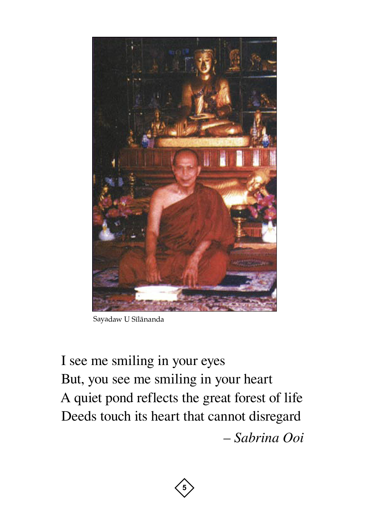

Sayadaw U Sīlānanda

I see me smiling in your eyes But, you see me smiling in your heart A quiet pond reflects the great forest of life Deeds touch its heart that cannot disregard *– Sabrina Ooi*

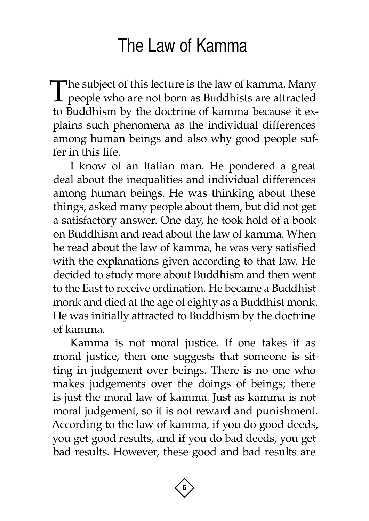### The Law of Kamma

<span id="page-7-0"></span>The subject of this lecture is the law of kamma. Many **L** people who are not born as Buddhists are attracted to Buddhism by the doctrine of kamma because it explains such phenomena as the individual differences among human beings and also why good people suffer in this life.

I know of an Italian man. He pondered a great deal about the inequalities and individual differences among human beings. He was thinking about these things, asked many people about them, but did not get a satisfactory answer. One day, he took hold of a book on Buddhism and read about the law of kamma. When he read about the law of kamma, he was very satisfied with the explanations given according to that law. He decided to study more about Buddhism and then went to the East to receive ordination. He became a Buddhist monk and died at the age of eighty as a Buddhist monk. He was initially attracted to Buddhism by the doctrine of kamma.

Kamma is not moral justice. If one takes it as moral justice, then one suggests that someone is sitting in judgement over beings. There is no one who makes judgements over the doings of beings; there is just the moral law of kamma. Just as kamma is not moral judgement, so it is not reward and punishment. According to the law of kamma, if you do good deeds, you get good results, and if you do bad deeds, you get bad results. However, these good and bad results are

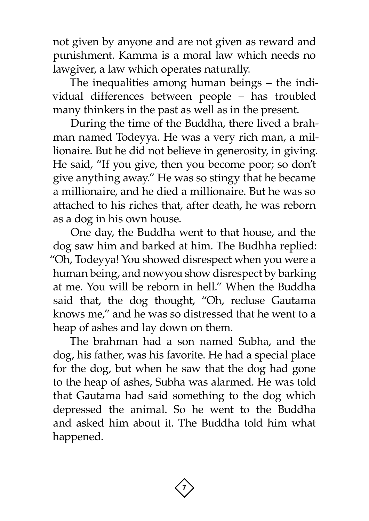not given by anyone and are not given as reward and punishment. Kamma is a moral law which needs no lawgiver, a law which operates naturally.

The inequalities among human beings – the individual differences between people – has troubled many thinkers in the past as well as in the present.

During the time of the Buddha, there lived a brahman named Todeyya. He was a very rich man, a millionaire. But he did not believe in generosity, in giving. He said, "If you give, then you become poor; so don't give anything away." He was so stingy that he became a millionaire, and he died a millionaire. But he was so attached to his riches that, after death, he was reborn as a dog in his own house.

One day, the Buddha went to that house, and the dog saw him and barked at him. The Budhha replied: "Oh, Todeyya! You showed disrespect when you were a human being, and nowyou show disrespect by barking at me. You will be reborn in hell." When the Buddha said that, the dog thought, "Oh, recluse Gautama knows me," and he was so distressed that he went to a heap of ashes and lay down on them.

The brahman had a son named Subha, and the dog, his father, was his favorite. He had a special place for the dog, but when he saw that the dog had gone to the heap of ashes, Subha was alarmed. He was told that Gautama had said something to the dog which depressed the animal. So he went to the Buddha and asked him about it. The Buddha told him what happened.

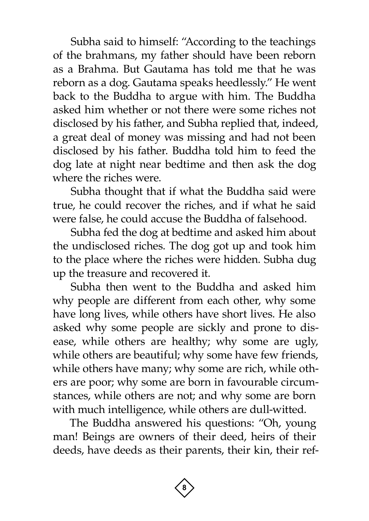Subha said to himself: "According to the teachings of the brahmans, my father should have been reborn as a Brahma. But Gautama has told me that he was reborn as a dog. Gautama speaks heedlessly." He went back to the Buddha to argue with him. The Buddha asked him whether or not there were some riches not disclosed by his father, and Subha replied that, indeed, a great deal of money was missing and had not been disclosed by his father. Buddha told him to feed the dog late at night near bedtime and then ask the dog where the riches were.

Subha thought that if what the Buddha said were true, he could recover the riches, and if what he said were false, he could accuse the Buddha of falsehood.

Subha fed the dog at bedtime and asked him about the undisclosed riches. The dog got up and took him to the place where the riches were hidden. Subha dug up the treasure and recovered it.

Subha then went to the Buddha and asked him why people are different from each other, why some have long lives, while others have short lives. He also asked why some people are sickly and prone to disease, while others are healthy; why some are ugly, while others are beautiful; why some have few friends, while others have many; why some are rich, while others are poor; why some are born in favourable circumstances, while others are not; and why some are born with much intelligence, while others are dull-witted.

The Buddha answered his questions: "Oh, young man! Beings are owners of their deed, heirs of their deeds, have deeds as their parents, their kin, their ref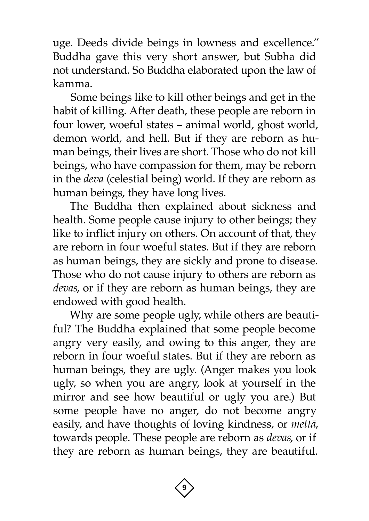uge. Deeds divide beings in lowness and excellence." Buddha gave this very short answer, but Subha did not understand. So Buddha elaborated upon the law of kamma.

Some beings like to kill other beings and get in the habit of killing. After death, these people are reborn in four lower, woeful states – animal world, ghost world, demon world, and hell. But if they are reborn as human beings, their lives are short. Those who do not kill beings, who have compassion for them, may be reborn in the *deva* (celestial being) world. If they are reborn as human beings, they have long lives.

The Buddha then explained about sickness and health. Some people cause injury to other beings; they like to inflict injury on others. On account of that, they are reborn in four woeful states. But if they are reborn as human beings, they are sickly and prone to disease. Those who do not cause injury to others are reborn as *devas*, or if they are reborn as human beings, they are endowed with good health.

Why are some people ugly, while others are beautiful? The Buddha explained that some people become angry very easily, and owing to this anger, they are reborn in four woeful states. But if they are reborn as human beings, they are ugly. (Anger makes you look ugly, so when you are angry, look at yourself in the mirror and see how beautiful or ugly you are.) But some people have no anger, do not become angry easily, and have thoughts of loving kindness, or *mettà*, towards people. These people are reborn as *devas*, or if they are reborn as human beings, they are beautiful.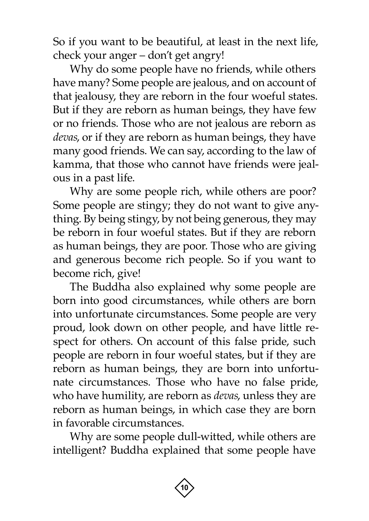So if you want to be beautiful, at least in the next life, check your anger – don't get angry!

Why do some people have no friends, while others have many? Some people are jealous, and on account of that jealousy, they are reborn in the four woeful states. But if they are reborn as human beings, they have few or no friends. Those who are not jealous are reborn as *devas*, or if they are reborn as human beings, they have many good friends. We can say, according to the law of kamma, that those who cannot have friends were jealous in a past life.

Why are some people rich, while others are poor? Some people are stingy; they do not want to give anything. By being stingy, by not being generous, they may be reborn in four woeful states. But if they are reborn as human beings, they are poor. Those who are giving and generous become rich people. So if you want to become rich, give!

The Buddha also explained why some people are born into good circumstances, while others are born into unfortunate circumstances. Some people are very proud, look down on other people, and have little respect for others. On account of this false pride, such people are reborn in four woeful states, but if they are reborn as human beings, they are born into unfortunate circumstances. Those who have no false pride, who have humility, are reborn as *devas*, unless they are reborn as human beings, in which case they are born in favorable circumstances.

Why are some people dull-witted, while others are intelligent? Buddha explained that some people have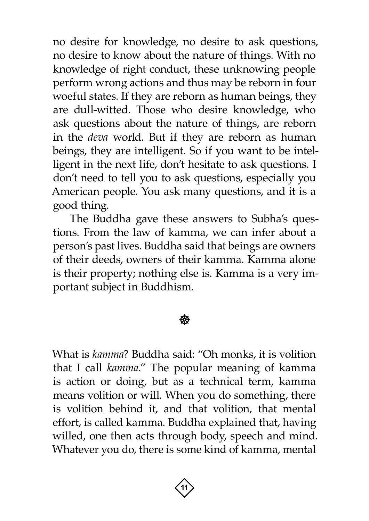no desire for knowledge, no desire to ask questions, no desire to know about the nature of things. With no knowledge of right conduct, these unknowing people perform wrong actions and thus may be reborn in four woeful states. If they are reborn as human beings, they are dull-witted. Those who desire knowledge, who ask questions about the nature of things, are reborn in the *deva* world. But if they are reborn as human beings, they are intelligent. So if you want to be intelligent in the next life, don't hesitate to ask questions. I don't need to tell you to ask questions, especially you American people. You ask many questions, and it is a good thing.

The Buddha gave these answers to Subha's questions. From the law of kamma, we can infer about a person's past lives. Buddha said that beings are owners of their deeds, owners of their kamma. Kamma alone is their property; nothing else is. Kamma is a very important subject in Buddhism.

### ∰∑

What is *kamma*? Buddha said: "Oh monks, it is volition that I call *kamma*." The popular meaning of kamma is action or doing, but as a technical term, kamma means volition or will. When you do something, there is volition behind it, and that volition, that mental effort, is called kamma. Buddha explained that, having willed, one then acts through body, speech and mind. Whatever you do, there is some kind of kamma, mental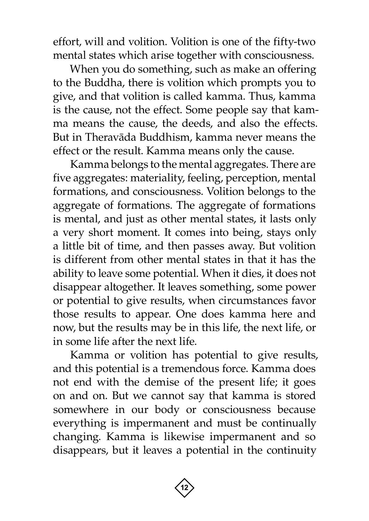effort, will and volition. Volition is one of the fifty-two mental states which arise together with consciousness.

When you do something, such as make an offering to the Buddha, there is volition which prompts you to give, and that volition is called kamma. Thus, kamma is the cause, not the effect. Some people say that kamma means the cause, the deeds, and also the effects. But in Theravàda Buddhism, kamma never means the effect or the result. Kamma means only the cause.

Kamma belongs to the mental aggregates. There are five aggregates: materiality, feeling, perception, mental formations, and consciousness. Volition belongs to the aggregate of formations. The aggregate of formations is mental, and just as other mental states, it lasts only a very short moment. It comes into being, stays only a little bit of time, and then passes away. But volition is different from other mental states in that it has the ability to leave some potential. When it dies, it does not disappear altogether. It leaves something, some power or potential to give results, when circumstances favor those results to appear. One does kamma here and now, but the results may be in this life, the next life, or in some life after the next life.

Kamma or volition has potential to give results, and this potential is a tremendous force. Kamma does not end with the demise of the present life; it goes on and on. But we cannot say that kamma is stored somewhere in our body or consciousness because everything is impermanent and must be continually changing. Kamma is likewise impermanent and so disappears, but it leaves a potential in the continuity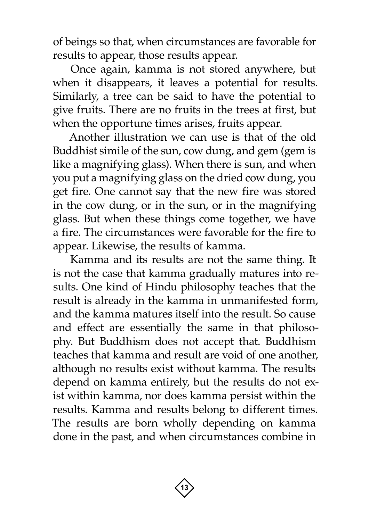of beings so that, when circumstances are favorable for results to appear, those results appear.

Once again, kamma is not stored anywhere, but when it disappears, it leaves a potential for results. Similarly, a tree can be said to have the potential to give fruits. There are no fruits in the trees at first, but when the opportune times arises, fruits appear.

Another illustration we can use is that of the old Buddhist simile of the sun, cow dung, and gem (gem is like a magnifying glass). When there is sun, and when you put a magnifying glass on the dried cow dung, you get fire. One cannot say that the new fire was stored in the cow dung, or in the sun, or in the magnifying glass. But when these things come together, we have a fire. The circumstances were favorable for the fire to appear. Likewise, the results of kamma.

Kamma and its results are not the same thing. It is not the case that kamma gradually matures into results. One kind of Hindu philosophy teaches that the result is already in the kamma in unmanifested form, and the kamma matures itself into the result. So cause and effect are essentially the same in that philosophy. But Buddhism does not accept that. Buddhism teaches that kamma and result are void of one another, although no results exist without kamma. The results depend on kamma entirely, but the results do not exist within kamma, nor does kamma persist within the results. Kamma and results belong to different times. The results are born wholly depending on kamma done in the past, and when circumstances combine in

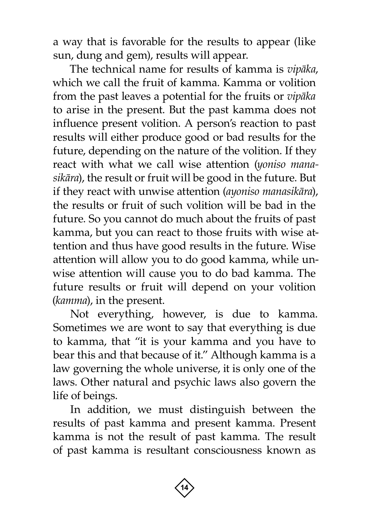a way that is favorable for the results to appear (like sun, dung and gem), results will appear.

The technical name for results of kamma is *vipàka*, which we call the fruit of kamma. Kamma or volition from the past leaves a potential for the fruits or *vipàka*  to arise in the present. But the past kamma does not influence present volition. A person's reaction to past results will either produce good or bad results for the future, depending on the nature of the volition. If they react with what we call wise attention (*yoniso manasikàra*), the result or fruit will be good in the future. But if they react with unwise attention (*ayoniso manasikàra*), the results or fruit of such volition will be bad in the future. So you cannot do much about the fruits of past kamma, but you can react to those fruits with wise attention and thus have good results in the future. Wise attention will allow you to do good kamma, while unwise attention will cause you to do bad kamma. The future results or fruit will depend on your volition (*kamma*), in the present.

Not everything, however, is due to kamma. Sometimes we are wont to say that everything is due to kamma, that "it is your kamma and you have to bear this and that because of it." Although kamma is a law governing the whole universe, it is only one of the laws. Other natural and psychic laws also govern the life of beings.

In addition, we must distinguish between the results of past kamma and present kamma. Present kamma is not the result of past kamma. The result of past kamma is resultant consciousness known as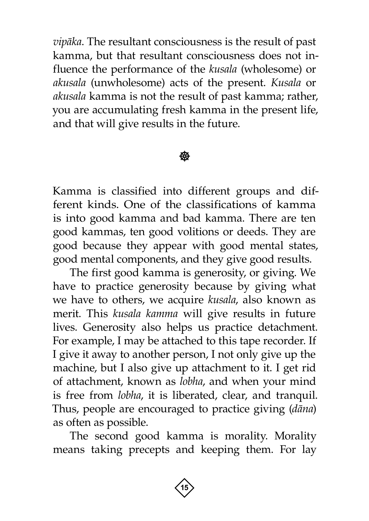*vipàka*. The resultant consciousness is the result of past kamma, but that resultant consciousness does not influence the performance of the *kusala* (wholesome) or *akusala* (unwholesome) acts of the present. *Kusala* or *akusala* kamma is not the result of past kamma; rather, you are accumulating fresh kamma in the present life, and that will give results in the future.

### 439

Kamma is classified into different groups and different kinds. One of the classifications of kamma is into good kamma and bad kamma. There are ten good kammas, ten good volitions or deeds. They are good because they appear with good mental states, good mental components, and they give good results.

The first good kamma is generosity, or giving. We have to practice generosity because by giving what we have to others, we acquire *kusala*, also known as merit. This *kusala kamma* will give results in future lives. Generosity also helps us practice detachment. For example, I may be attached to this tape recorder. If I give it away to another person, I not only give up the machine, but I also give up attachment to it. I get rid of attachment, known as *lobha*, and when your mind is free from *lobha*, it is liberated, clear, and tranquil. Thus, people are encouraged to practice giving (*dàna*) as often as possible.

The second good kamma is morality. Morality means taking precepts and keeping them. For lay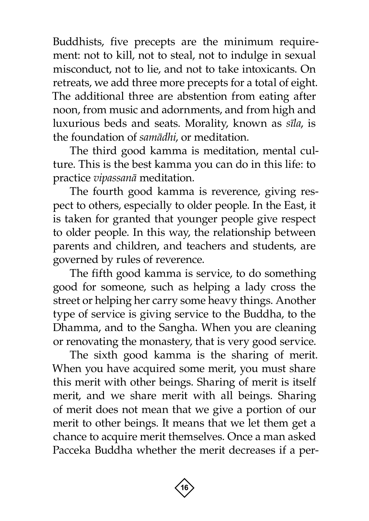Buddhists, five precepts are the minimum requirement: not to kill, not to steal, not to indulge in sexual misconduct, not to lie, and not to take intoxicants. On retreats, we add three more precepts for a total of eight. The additional three are abstention from eating after noon, from music and adornments, and from high and luxurious beds and seats. Morality, known as *sãla*, is the foundation of *samàdhi*, or meditation.

The third good kamma is meditation, mental culture. This is the best kamma you can do in this life: to practice *vipassanà* meditation.

The fourth good kamma is reverence, giving respect to others, especially to older people. In the East, it is taken for granted that younger people give respect to older people. In this way, the relationship between parents and children, and teachers and students, are governed by rules of reverence.

The fifth good kamma is service, to do something good for someone, such as helping a lady cross the street or helping her carry some heavy things. Another type of service is giving service to the Buddha, to the Dhamma, and to the Sangha. When you are cleaning or renovating the monastery, that is very good service.

The sixth good kamma is the sharing of merit. When you have acquired some merit, you must share this merit with other beings. Sharing of merit is itself merit, and we share merit with all beings. Sharing of merit does not mean that we give a portion of our merit to other beings. It means that we let them get a chance to acquire merit themselves. Once a man asked Pacceka Buddha whether the merit decreases if a per-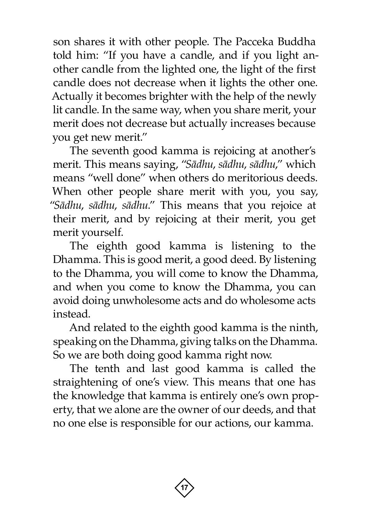son shares it with other people. The Pacceka Buddha told him: "If you have a candle, and if you light another candle from the lighted one, the light of the first candle does not decrease when it lights the other one. Actually it becomes brighter with the help of the newly lit candle. In the same way, when you share merit, your merit does not decrease but actually increases because you get new merit."

The seventh good kamma is rejoicing at another's merit. This means saying, "*Sàdhu*, *sàdhu*, *sàdhu*," which means "well done" when others do meritorious deeds. When other people share merit with you, you say, "*Sàdhu*, *sàdhu*, *sàdhu*." This means that you rejoice at their merit, and by rejoicing at their merit, you get merit yourself.

The eighth good kamma is listening to the Dhamma. This is good merit, a good deed. By listening to the Dhamma, you will come to know the Dhamma, and when you come to know the Dhamma, you can avoid doing unwholesome acts and do wholesome acts instead.

And related to the eighth good kamma is the ninth, speaking on the Dhamma, giving talks on the Dhamma. So we are both doing good kamma right now.

The tenth and last good kamma is called the straightening of one's view. This means that one has the knowledge that kamma is entirely one's own property, that we alone are the owner of our deeds, and that no one else is responsible for our actions, our kamma.

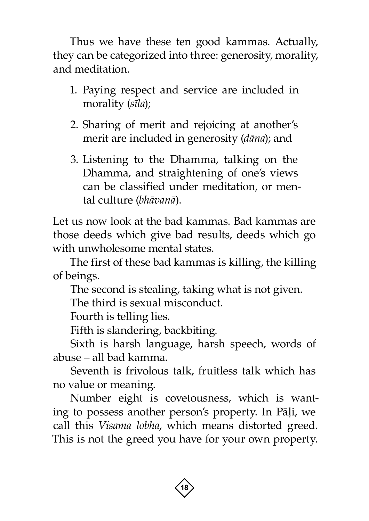Thus we have these ten good kammas. Actually, they can be categorized into three: generosity, morality, and meditation.

- 1. Paying respect and service are included in morality (*sãla*);
- 2. Sharing of merit and rejoicing at another's merit are included in generosity (*dàna*); and
- 3. Listening to the Dhamma, talking on the Dhamma, and straightening of one's views can be classified under meditation, or mental culture (*bhàvanà*).

Let us now look at the bad kammas. Bad kammas are those deeds which give bad results, deeds which go with unwholesome mental states.

The first of these bad kammas is killing, the killing of beings.

The second is stealing, taking what is not given.

The third is sexual misconduct.

Fourth is telling lies.

Fifth is slandering, backbiting.

Sixth is harsh language, harsh speech, words of abuse – all bad kamma.

Seventh is frivolous talk, fruitless talk which has no value or meaning.

Number eight is covetousness, which is wanting to possess another person's property. In Pāļi, we call this *Visama lobha*, which means distorted greed. This is not the greed you have for your own property.

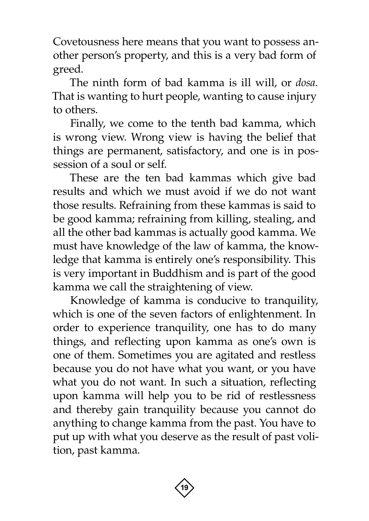Covetousness here means that you want to possess another person's property, and this is a very bad form of greed.

The ninth form of bad kamma is ill will, or *dosa*. That is wanting to hurt people, wanting to cause injury to others.

Finally, we come to the tenth bad kamma, which is wrong view. Wrong view is having the belief that things are permanent, satisfactory, and one is in possession of a soul or self.

These are the ten bad kammas which give bad results and which we must avoid if we do not want those results. Refraining from these kammas is said to be good kamma; refraining from killing, stealing, and all the other bad kammas is actually good kamma. We must have knowledge of the law of kamma, the knowledge that kamma is entirely one's responsibility. This is very important in Buddhism and is part of the good kamma we call the straightening of view.

Knowledge of kamma is conducive to tranquility, which is one of the seven factors of enlightenment. In order to experience tranquility, one has to do many things, and reflecting upon kamma as one's own is one of them. Sometimes you are agitated and restless because you do not have what you want, or you have what you do not want. In such a situation, reflecting upon kamma will help you to be rid of restlessness and thereby gain tranquility because you cannot do anything to change kamma from the past. You have to put up with what you deserve as the result of past volition, past kamma.

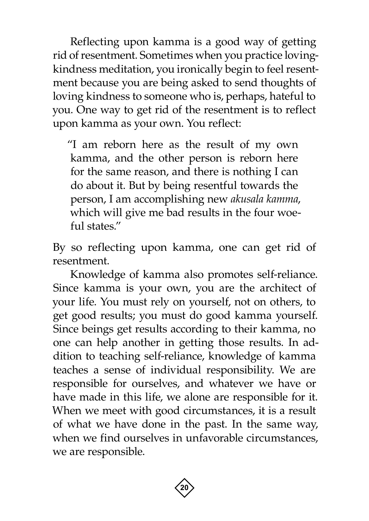Reflecting upon kamma is a good way of getting rid of resentment. Sometimes when you practice lovingkindness meditation, you ironically begin to feel resentment because you are being asked to send thoughts of loving kindness to someone who is, perhaps, hateful to you. One way to get rid of the resentment is to reflect upon kamma as your own. You reflect:

"I am reborn here as the result of my own kamma, and the other person is reborn here for the same reason, and there is nothing I can do about it. But by being resentful towards the person, I am accomplishing new *akusala kamma*, which will give me bad results in the four woeful states."

By so reflecting upon kamma, one can get rid of resentment.

Knowledge of kamma also promotes self-reliance. Since kamma is your own, you are the architect of your life. You must rely on yourself, not on others, to get good results; you must do good kamma yourself. Since beings get results according to their kamma, no one can help another in getting those results. In addition to teaching self-reliance, knowledge of kamma teaches a sense of individual responsibility. We are responsible for ourselves, and whatever we have or have made in this life, we alone are responsible for it. When we meet with good circumstances, it is a result of what we have done in the past. In the same way, when we find ourselves in unfavorable circumstances, we are responsible.

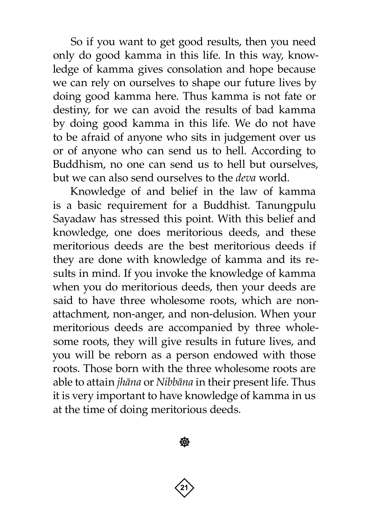So if you want to get good results, then you need only do good kamma in this life. In this way, knowledge of kamma gives consolation and hope because we can rely on ourselves to shape our future lives by doing good kamma here. Thus kamma is not fate or destiny, for we can avoid the results of bad kamma by doing good kamma in this life. We do not have to be afraid of anyone who sits in judgement over us or of anyone who can send us to hell. According to Buddhism, no one can send us to hell but ourselves, but we can also send ourselves to the *deva* world.

Knowledge of and belief in the law of kamma is a basic requirement for a Buddhist. Tanungpulu Sayadaw has stressed this point. With this belief and knowledge, one does meritorious deeds, and these meritorious deeds are the best meritorious deeds if they are done with knowledge of kamma and its results in mind. If you invoke the knowledge of kamma when you do meritorious deeds, then your deeds are said to have three wholesome roots, which are nonattachment, non-anger, and non-delusion. When your meritorious deeds are accompanied by three wholesome roots, they will give results in future lives, and you will be reborn as a person endowed with those roots. Those born with the three wholesome roots are able to attain *jhàna* or *Nibbàna* in their present life. Thus it is very important to have knowledge of kamma in us at the time of doing meritorious deeds.

**20 21**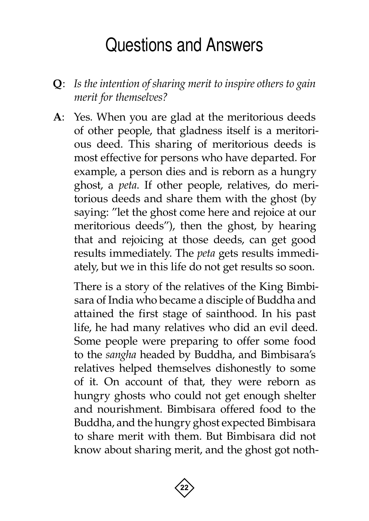## Questions and Answers

- <span id="page-23-0"></span>**Q**: *Is the intention of sharing merit to inspire others to gain merit for themselves?*
- **A**: Yes. When you are glad at the meritorious deeds of other people, that gladness itself is a meritorious deed. This sharing of meritorious deeds is most effective for persons who have departed. For example, a person dies and is reborn as a hungry ghost, a *peta*. If other people, relatives, do meritorious deeds and share them with the ghost (by saying: "let the ghost come here and rejoice at our meritorious deeds"), then the ghost, by hearing that and rejoicing at those deeds, can get good results immediately. The *peta* gets results immediately, but we in this life do not get results so soon.

There is a story of the relatives of the King Bimbisara of India who became a disciple of Buddha and attained the first stage of sainthood. In his past life, he had many relatives who did an evil deed. Some people were preparing to offer some food to the *sangha* headed by Buddha, and Bimbisara's relatives helped themselves dishonestly to some of it. On account of that, they were reborn as hungry ghosts who could not get enough shelter and nourishment. Bimbisara offered food to the Buddha, and the hungry ghost expected Bimbisara to share merit with them. But Bimbisara did not know about sharing merit, and the ghost got noth-

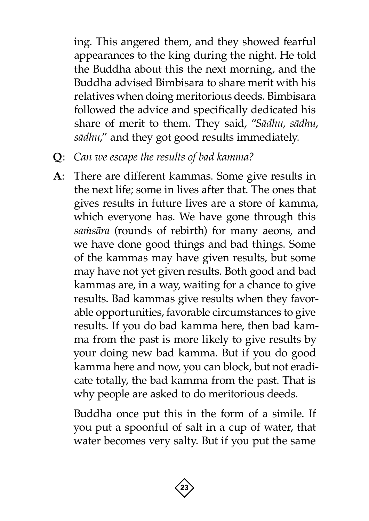ing. This angered them, and they showed fearful appearances to the king during the night. He told the Buddha about this the next morning, and the Buddha advised Bimbisara to share merit with his relatives when doing meritorious deeds. Bimbisara followed the advice and specifically dedicated his share of merit to them. They said, "*Sàdhu*, *sàdhu*, *sàdhu*," and they got good results immediately.

- **Q**: *Can we escape the results of bad kamma?*
- **A**: There are different kammas. Some give results in the next life; some in lives after that. The ones that gives results in future lives are a store of kamma, which everyone has. We have gone through this samisāra (rounds of rebirth) for many aeons, and we have done good things and bad things. Some of the kammas may have given results, but some may have not yet given results. Both good and bad kammas are, in a way, waiting for a chance to give results. Bad kammas give results when they favorable opportunities, favorable circumstances to give results. If you do bad kamma here, then bad kamma from the past is more likely to give results by your doing new bad kamma. But if you do good kamma here and now, you can block, but not eradicate totally, the bad kamma from the past. That is why people are asked to do meritorious deeds.

Buddha once put this in the form of a simile. If you put a spoonful of salt in a cup of water, that water becomes very salty. But if you put the same

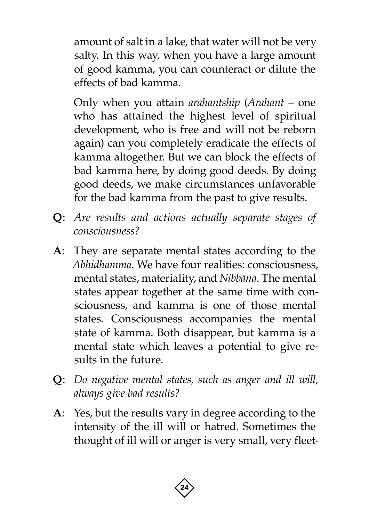amount of salt in a lake, that water will not be very salty. In this way, when you have a large amount of good kamma, you can counteract or dilute the effects of bad kamma.

Only when you attain *arahantship* (*Arahant* – one who has attained the highest level of spiritual development, who is free and will not be reborn again) can you completely eradicate the effects of kamma altogether. But we can block the effects of bad kamma here, by doing good deeds. By doing good deeds, we make circumstances unfavorable for the bad kamma from the past to give results.

- **Q**: *Are results and actions actually separate stages of consciousness?*
- **A**: They are separate mental states according to the *Abhidhamma*. We have four realities: consciousness, mental states, materiality, and *Nibbàna*. The mental states appear together at the same time with consciousness, and kamma is one of those mental states. Consciousness accompanies the mental state of kamma. Both disappear, but kamma is a mental state which leaves a potential to give results in the future.
- **Q**: *Do negative mental states, such as anger and ill will, always give bad results?*
- **A**: Yes, but the results vary in degree according to the intensity of the ill will or hatred. Sometimes the thought of ill will or anger is very small, very fleet-

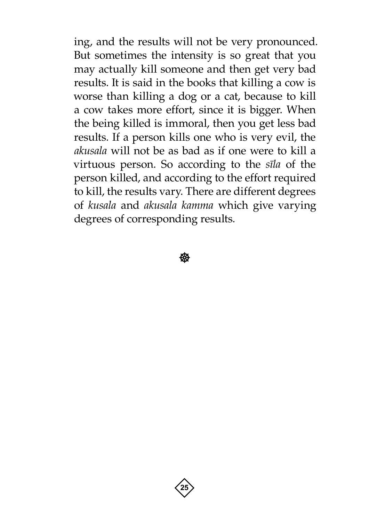ing, and the results will not be very pronounced. But sometimes the intensity is so great that you may actually kill someone and then get very bad results. It is said in the books that killing a cow is worse than killing a dog or a cat, because to kill a cow takes more effort, since it is bigger. When the being killed is immoral, then you get less bad results. If a person kills one who is very evil, the *akusala* will not be as bad as if one were to kill a virtuous person. So according to the *sãla* of the person killed, and according to the effort required to kill, the results vary. There are different degrees of *kusala* and *akusala kamma* which give varying degrees of corresponding results.

**後** 

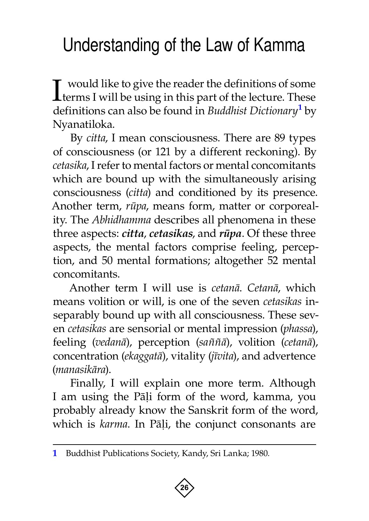## <span id="page-27-0"></span>Understanding of the Law of Kamma

I would like to give the reader the definitions of some terms I will be using in this part of the lecture. These definitions can also be found in *Buddhist Dictionary***<sup>1</sup>** by Nyanatiloka.

By *citta*, I mean consciousness. There are 89 types of consciousness (or 121 by a different reckoning). By *cetasika*, I refer to mental factors or mental concomitants which are bound up with the simultaneously arising consciousness (*citta*) and conditioned by its presence. Another term, *råpa*, means form, matter or corporeality. The *Abhidhamma* describes all phenomena in these three aspects: *citta*, *cetasikas*, and *råpa*. Of these three aspects, the mental factors comprise feeling, perception, and 50 mental formations; altogether 52 mental concomitants.

Another term I will use is *cetanà*. *Cetanà*, which means volition or will, is one of the seven *cetasikas* inseparably bound up with all consciousness. These seven *cetasikas* are sensorial or mental impression (*phassa*), feeling (*vedanà*), perception (*sa¤¤à*), volition (*cetanà*), concentration (*ekaggatà*), vitality (*jãvita*), and advertence (*manasikàra*).

Finally, I will explain one more term. Although I am using the Pāļi form of the word, kamma, you probably already know the Sanskrit form of the word, which is *karma*. In Pāļi, the conjunct consonants are

**<sup>1</sup>** Buddhist Publications Society, Kandy, Sri Lanka; 1980.

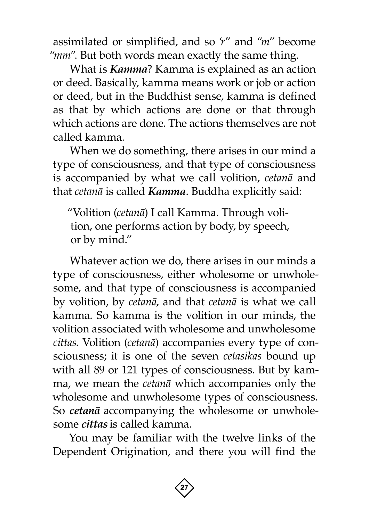assimilated or simplified, and so '*r*" and "*m*" become "mm". But both words mean exactly the same thing.

What is *Kamma*? Kamma is explained as an action or deed. Basically, kamma means work or job or action or deed, but in the Buddhist sense, kamma is defined as that by which actions are done or that through which actions are done. The actions themselves are not called kamma.

When we do something, there arises in our mind a type of consciousness, and that type of consciousness is accompanied by what we call volition, *cetanà* and that *cetanà* is called *Kamma*. Buddha explicitly said:

"Volition (*cetanà*) I call Kamma. Through volition, one performs action by body, by speech, or by mind."

Whatever action we do, there arises in our minds a type of consciousness, either wholesome or unwholesome, and that type of consciousness is accompanied by volition, by *cetanà*, and that *cetanà* is what we call kamma. So kamma is the volition in our minds, the volition associated with wholesome and unwholesome *cittas*. Volition (*cetanà*) accompanies every type of consciousness; it is one of the seven *cetasikas* bound up with all 89 or 121 types of consciousness. But by kamma, we mean the *cetanà* which accompanies only the wholesome and unwholesome types of consciousness. So *cetanà* accompanying the wholesome or unwholesome *cittas* is called kamma.

You may be familiar with the twelve links of the Dependent Origination, and there you will find the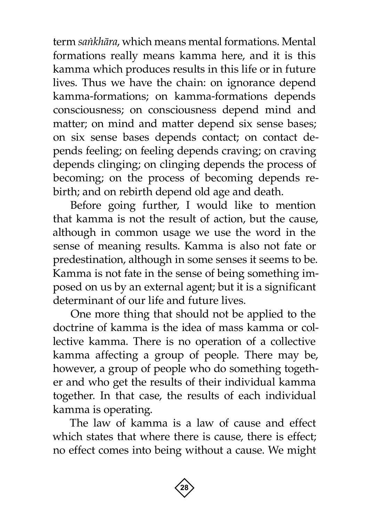term *saïkhàra*, which means mental formations. Mental formations really means kamma here, and it is this kamma which produces results in this life or in future lives. Thus we have the chain: on ignorance depend kamma-formations; on kamma-formations depends consciousness; on consciousness depend mind and matter; on mind and matter depend six sense bases; on six sense bases depends contact; on contact depends feeling; on feeling depends craving; on craving depends clinging; on clinging depends the process of becoming; on the process of becoming depends rebirth; and on rebirth depend old age and death.

Before going further, I would like to mention that kamma is not the result of action, but the cause, although in common usage we use the word in the sense of meaning results. Kamma is also not fate or predestination, although in some senses it seems to be. Kamma is not fate in the sense of being something imposed on us by an external agent; but it is a significant determinant of our life and future lives.

One more thing that should not be applied to the doctrine of kamma is the idea of mass kamma or collective kamma. There is no operation of a collective kamma affecting a group of people. There may be, however, a group of people who do something together and who get the results of their individual kamma together. In that case, the results of each individual kamma is operating.

The law of kamma is a law of cause and effect which states that where there is cause, there is effect; no effect comes into being without a cause. We might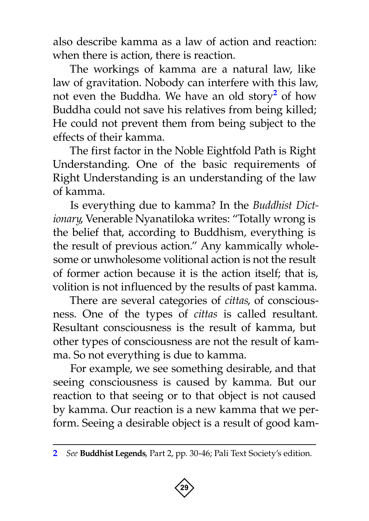also describe kamma as a law of action and reaction: when there is action, there is reaction.

The workings of kamma are a natural law, like law of gravitation. Nobody can interfere with this law, not even the Buddha. We have an old story**<sup>2</sup>** of how Buddha could not save his relatives from being killed; He could not prevent them from being subject to the effects of their kamma.

The first factor in the Noble Eightfold Path is Right Understanding. One of the basic requirements of Right Understanding is an understanding of the law of kamma.

Is everything due to kamma? In the *Buddhist Dictionary*, Venerable Nyanatiloka writes: "Totally wrong is the belief that, according to Buddhism, everything is the result of previous action." Any kammically wholesome or unwholesome volitional action is not the result of former action because it is the action itself; that is, volition is not influenced by the results of past kamma.

There are several categories of *cittas*, of consciousness. One of the types of *cittas* is called resultant. Resultant consciousness is the result of kamma, but other types of consciousness are not the result of kamma. So not everything is due to kamma.

For example, we see something desirable, and that seeing consciousness is caused by kamma. But our reaction to that seeing or to that object is not caused by kamma. Our reaction is a new kamma that we perform. Seeing a desirable object is a result of good kam-

**<sup>2</sup>** *See* **Buddhist Legends**, Part 2, pp. 30-46; Pali Text Society's edition.

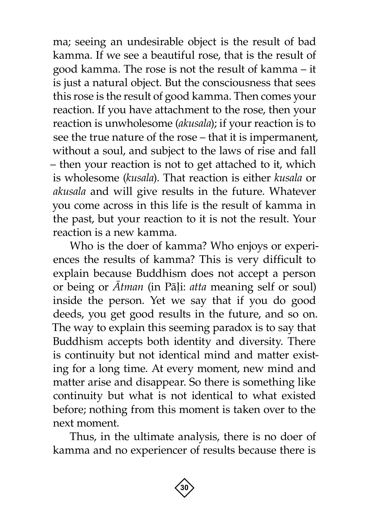ma; seeing an undesirable object is the result of bad kamma. If we see a beautiful rose, that is the result of good kamma. The rose is not the result of kamma – it is just a natural object. But the consciousness that sees this rose is the result of good kamma. Then comes your reaction. If you have attachment to the rose, then your reaction is unwholesome (*akusala*); if your reaction is to see the true nature of the rose – that it is impermanent, without a soul, and subject to the laws of rise and fall – then your reaction is not to get attached to it, which is wholesome (*kusala*). That reaction is either *kusala* or *akusala* and will give results in the future. Whatever you come across in this life is the result of kamma in the past, but your reaction to it is not the result. Your reaction is a new kamma.

Who is the doer of kamma? Who enjoys or experiences the results of kamma? This is very difficult to explain because Buddhism does not accept a person or being or *âtman* (in Pàëi: *atta* meaning self or soul) inside the person. Yet we say that if you do good deeds, you get good results in the future, and so on. The way to explain this seeming paradox is to say that Buddhism accepts both identity and diversity. There is continuity but not identical mind and matter existing for a long time. At every moment, new mind and matter arise and disappear. So there is something like continuity but what is not identical to what existed before; nothing from this moment is taken over to the next moment.

Thus, in the ultimate analysis, there is no doer of kamma and no experiencer of results because there is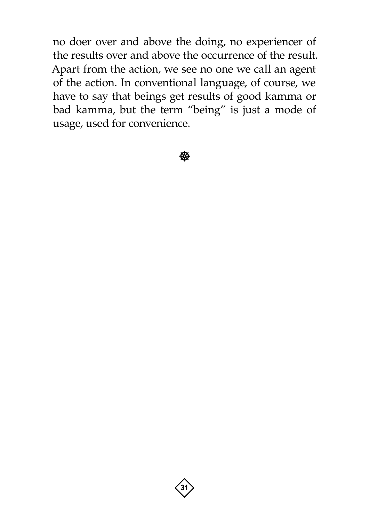no doer over and above the doing, no experiencer of the results over and above the occurrence of the result. Apart from the action, we see no one we call an agent of the action. In conventional language, of course, we have to say that beings get results of good kamma or bad kamma, but the term "being" is just a mode of usage, used for convenience.

**後** 

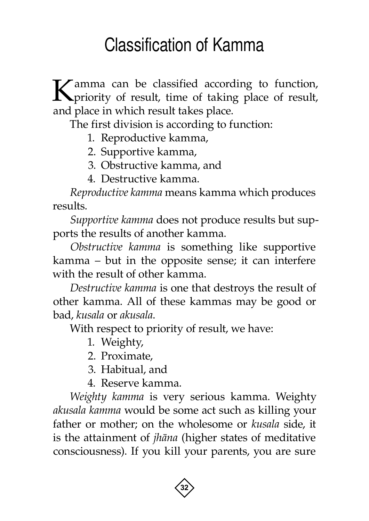## Classification of Kamma

<span id="page-33-0"></span>Kamma can be classified according to function, priority of result, time of taking place of result, and place in which result takes place.

The first division is according to function:

- 1. Reproductive kamma,
- 2. Supportive kamma,
- 3. Obstructive kamma, and
- 4. Destructive kamma.

*Reproductive kamma* means kamma which produces results.

*Supportive kamma* does not produce results but supports the results of another kamma.

*Obstructive kamma* is something like supportive kamma – but in the opposite sense; it can interfere with the result of other kamma.

*Destructive kamma* is one that destroys the result of other kamma. All of these kammas may be good or bad, *kusala* or *akusala*.

With respect to priority of result, we have:

- 1. Weighty,
- 2. Proximate,
- 3. Habitual, and
- 4. Reserve kamma.

*Weighty kamma* is very serious kamma. Weighty *akusala kamma* would be some act such as killing your father or mother; on the wholesome or *kusala* side, it is the attainment of *jhàna* (higher states of meditative consciousness). If you kill your parents, you are sure

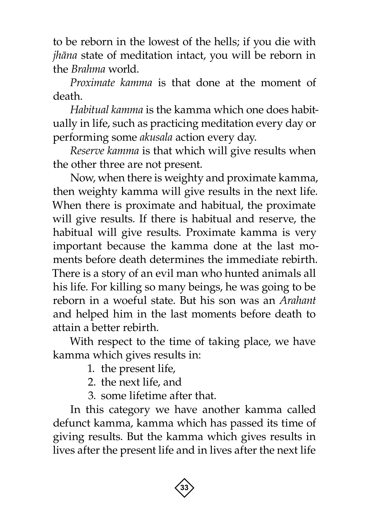to be reborn in the lowest of the hells; if you die with *jhàna* state of meditation intact, you will be reborn in the *Brahma* world.

*Proximate kamma* is that done at the moment of death.

*Habitual kamma* is the kamma which one does habitually in life, such as practicing meditation every day or performing some *akusala* action every day.

*Reserve kamma* is that which will give results when the other three are not present.

Now, when there is weighty and proximate kamma, then weighty kamma will give results in the next life. When there is proximate and habitual, the proximate will give results. If there is habitual and reserve, the habitual will give results. Proximate kamma is very important because the kamma done at the last moments before death determines the immediate rebirth. There is a story of an evil man who hunted animals all his life. For killing so many beings, he was going to be reborn in a woeful state. But his son was an *Arahant*  and helped him in the last moments before death to attain a better rebirth.

With respect to the time of taking place, we have kamma which gives results in:

1. the present life,

- 2. the next life, and
- 3. some lifetime after that.

In this category we have another kamma called defunct kamma, kamma which has passed its time of giving results. But the kamma which gives results in lives after the present life and in lives after the next life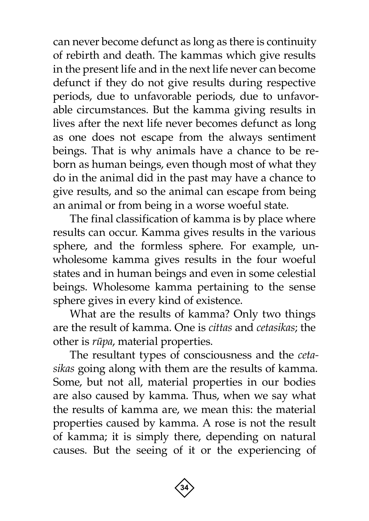can never become defunct as long as there is continuity of rebirth and death. The kammas which give results in the present life and in the next life never can become defunct if they do not give results during respective periods, due to unfavorable periods, due to unfavorable circumstances. But the kamma giving results in lives after the next life never becomes defunct as long as one does not escape from the always sentiment beings. That is why animals have a chance to be reborn as human beings, even though most of what they do in the animal did in the past may have a chance to give results, and so the animal can escape from being an animal or from being in a worse woeful state.

The final classification of kamma is by place where results can occur. Kamma gives results in the various sphere, and the formless sphere. For example, unwholesome kamma gives results in the four woeful states and in human beings and even in some celestial beings. Wholesome kamma pertaining to the sense sphere gives in every kind of existence.

What are the results of kamma? Only two things are the result of kamma. One is *cittas* and *cetasikas*; the other is *råpa*, material properties.

The resultant types of consciousness and the *cetasikas* going along with them are the results of kamma. Some, but not all, material properties in our bodies are also caused by kamma. Thus, when we say what the results of kamma are, we mean this: the material properties caused by kamma. A rose is not the result of kamma; it is simply there, depending on natural causes. But the seeing of it or the experiencing of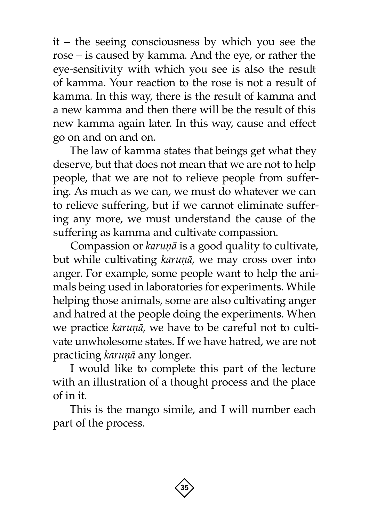it – the seeing consciousness by which you see the rose – is caused by kamma. And the eye, or rather the eye-sensitivity with which you see is also the result of kamma. Your reaction to the rose is not a result of kamma. In this way, there is the result of kamma and a new kamma and then there will be the result of this new kamma again later. In this way, cause and effect go on and on and on.

The law of kamma states that beings get what they deserve, but that does not mean that we are not to help people, that we are not to relieve people from suffering. As much as we can, we must do whatever we can to relieve suffering, but if we cannot eliminate suffering any more, we must understand the cause of the suffering as kamma and cultivate compassion.

Compassion or *karuṇā* is a good quality to cultivate, but while cultivating *karuṇā*, we may cross over into anger. For example, some people want to help the animals being used in laboratories for experiments. While helping those animals, some are also cultivating anger and hatred at the people doing the experiments. When we practice *karuṇā*, we have to be careful not to cultivate unwholesome states. If we have hatred, we are not practicing *karuṇā* any longer.

I would like to complete this part of the lecture with an illustration of a thought process and the place of in it.

This is the mango simile, and I will number each part of the process.

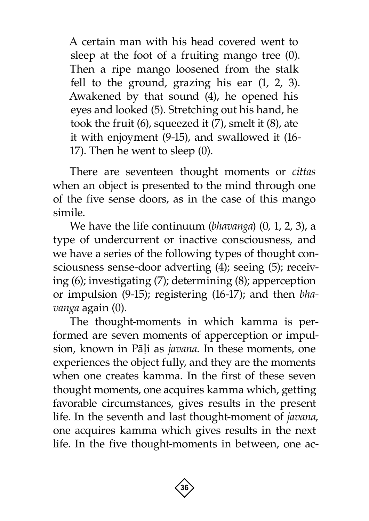A certain man with his head covered went to sleep at the foot of a fruiting mango tree (0). Then a ripe mango loosened from the stalk fell to the ground, grazing his ear (1, 2, 3). Awakened by that sound (4), he opened his eyes and looked (5). Stretching out his hand, he took the fruit (6), squeezed it (7), smelt it (8), ate it with enjoyment (9-15), and swallowed it (16- 17). Then he went to sleep (0).

There are seventeen thought moments or *cittas*  when an object is presented to the mind through one of the five sense doors, as in the case of this mango simile.

We have the life continuum (*bhavanga*) (0, 1, 2, 3), a type of undercurrent or inactive consciousness, and we have a series of the following types of thought consciousness sense-door adverting (4); seeing (5); receiving (6); investigating (7); determining (8); apperception or impulsion (9-15); registering (16-17); and then *bhavanga* again (0).

The thought-moments in which kamma is performed are seven moments of apperception or impulsion, known in Pāļi as *javana*. In these moments, one experiences the object fully, and they are the moments when one creates kamma. In the first of these seven thought moments, one acquires kamma which, getting favorable circumstances, gives results in the present life. In the seventh and last thought-moment of *javana*, one acquires kamma which gives results in the next life. In the five thought-moments in between, one ac-

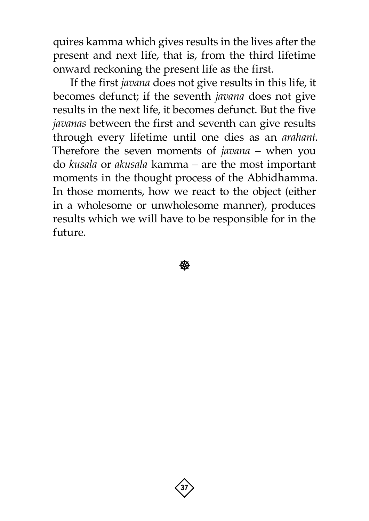quires kamma which gives results in the lives after the present and next life, that is, from the third lifetime onward reckoning the present life as the first.

If the first *javana* does not give results in this life, it becomes defunct; if the seventh *javana* does not give results in the next life, it becomes defunct. But the five *javanas* between the first and seventh can give results through every lifetime until one dies as an *arahant*. Therefore the seven moments of *javana* – when you do *kusala* or *akusala* kamma – are the most important moments in the thought process of the Abhidhamma. In those moments, how we react to the object (either in a wholesome or unwholesome manner), produces results which we will have to be responsible for in the future.

**後** 

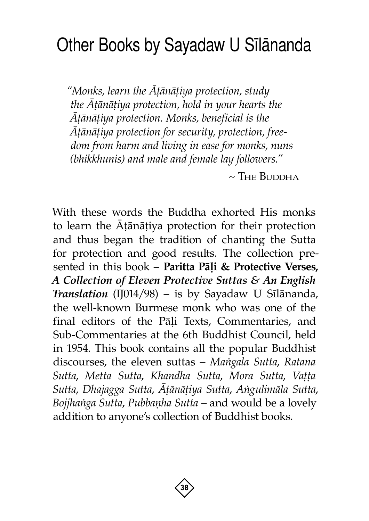## <span id="page-39-0"></span>Other Books by Sayadaw U Silananda

*"Monks, learn the âñànàñiya protection, study*  the  $\bar{A}$ *tānāṭiya protection, hold in your hearts the âñànàñiya protection. Monks, beneficial is the âñànàñiya protection for security, protection, freedom from harm and living in ease for monks, nuns (bhikkhunis) and male and female lay followers."*

 $\sim$  The Buddha

With these words the Buddha exhorted His monks to learn the Atanatiya protection for their protection and thus began the tradition of chanting the Sutta for protection and good results. The collection presented in this book - Paritta Pāļi & Protective Verses, *A Collection of Eleven Protective Suttas & An English Translation* (IJ014/98) – is by Sayadaw U Sãlànanda, the well-known Burmese monk who was one of the final editors of the Pāļi Texts, Commentaries, and Sub-Commentaries at the 6th Buddhist Council, held in 1954. This book contains all the popular Buddhist discourses, the eleven suttas – *Maïgala Sutta*, *Ratana Sutta, Metta Sutta, Khandha Sutta, Mora Sutta, Vatta Sutta*, *Dhajagga Sutta*, *âñànàñiya Sutta*, *Aïgulimàla Sutta*, *Bojjhanga Sutta, Pubbanha Sutta* – and would be a lovely addition to anyone's collection of Buddhist books.

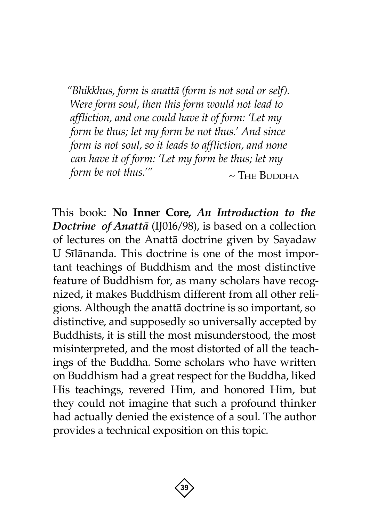*"Bhikkhus, form is anattà (form is not soul or self). Were form soul, then this form would not lead to affliction, and one could have it of form: 'Let my form be thus; let my form be not thus.' And since form is not soul, so it leads to affliction, and none can have it of form: 'Let my form be thus; let my form be not thus.'"*  $\sim$  THE BUDDHA

This book: **No Inner Core,** *An Introduction to the Doctrine of Anattà* (IJ016/98), is based on a collection of lectures on the Anattà doctrine given by Sayadaw U Sãlànanda. This doctrine is one of the most important teachings of Buddhism and the most distinctive feature of Buddhism for, as many scholars have recognized, it makes Buddhism different from all other religions. Although the anattà doctrine is so important, so distinctive, and supposedly so universally accepted by Buddhists, it is still the most misunderstood, the most misinterpreted, and the most distorted of all the teachings of the Buddha. Some scholars who have written on Buddhism had a great respect for the Buddha, liked His teachings, revered Him, and honored Him, but they could not imagine that such a profound thinker had actually denied the existence of a soul. The author provides a technical exposition on this topic.

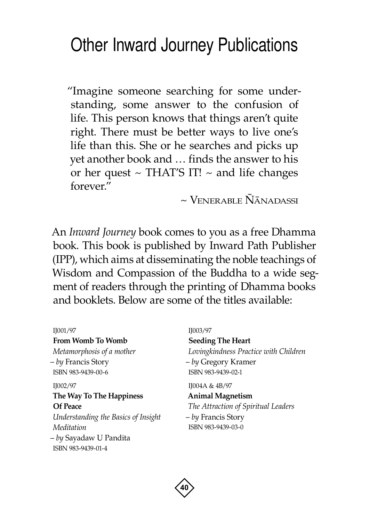### <span id="page-41-0"></span>Other Inward Journey Publications

"Imagine someone searching for some understanding, some answer to the confusion of life. This person knows that things aren't quite right. There must be better ways to live one's life than this. She or he searches and picks up yet another book and … finds the answer to his or her quest  $\sim$  THAT'S IT!  $\sim$  and life changes forever."

 $\sim$  Venerable  $\tilde{N}$ ānadassi

An *Inward Journey* book comes to you as a free Dhamma book. This book is published by Inward Path Publisher (IPP), which aims at disseminating the noble teachings of Wisdom and Compassion of the Buddha to a wide segment of readers through the printing of Dhamma books and booklets. Below are some of the titles available:

#### IJ001/97

**From Womb To Womb**

*Metamorphosis of a mother* – *by* Francis Story ISBN 983-9439-00-6

### IJ002/97 **The Way To The Happiness Of Peace** *Understanding the Basics of Insight Meditation*

– *by* Sayadaw U Pandita ISBN 983-9439-01-4

#### IJ003/97

**Seeding The Heart** *Lovingkindness Practice with Children* – *by* Gregory Kramer ISBN 983-9439-02-1

IJ004A & 4B/97

**Animal Magnetism** *The Attraction of Spiritual Leaders* – *by* Francis Story ISBN 983-9439-03-0

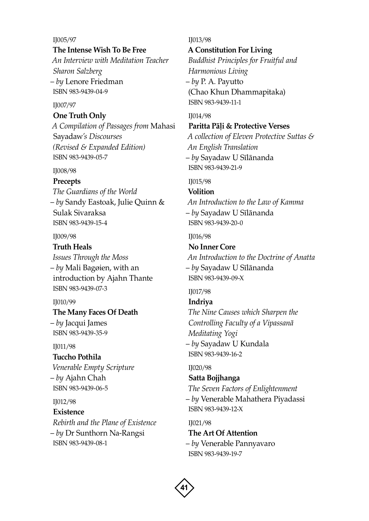IJ005/97

#### **The Intense Wish To Be Free**

*An Interview with Meditation Teacher Sharon Salzberg* – *by* Lenore Friedman ISBN 983-9439-04-9

#### IJ007/97

#### **One Truth Only**

*A Compilation of Passages from* Mahasi Sayadaw*'s Discourses (Revised & Expanded Edition)* ISBN 983-9439-05-7

#### IJ008/98

#### **Precepts**

*The Guardians of the World* – *by* Sandy Eastoak, Julie Quinn & Sulak Sivaraksa ISBN 983-9439-15-4

IJ009/98

#### **Truth Heals**

*Issues Through the Moss* – *by* Mali Bagøien, with an introduction by Ajahn Thante ISBN 983-9439-07-3

#### IJ010/99

#### **The Many Faces Of Death**

– *by* Jacqui James ISBN 983-9439-35-9

#### IJ011/98

#### **Tuccho Pothila**

*Venerable Empty Scripture* – *by* Ajahn Chah ISBN 983-9439-06-5

#### IJ012/98

#### **Existence** *Rebirth and the Plane of Existence*

– *by* Dr Sunthorn Na-Rangsi ISBN 983-9439-08-1

#### IJ013/98

#### **A Constitution For Living**

*Buddhist Principles for Fruitful and Harmonious Living* – *by* P. A. Payutto (Chao Khun Dhammapitaka) ISBN 983-9439-11-1

#### IJ014/98

#### **Paritta Pàëi & Protective Verses**

*A collection of Eleven Protective Suttas & An English Translation* – *by* Sayadaw U Sãlànanda ISBN 983-9439-21-9

#### IJ015/98

#### **Volition**

*An Introduction to the Law of Kamma* – *by* Sayadaw U Sãlànanda ISBN 983-9439-20-0

#### IJ016/98

#### **No Inner Core**

*An Introduction to the Doctrine of Anatta* – *by* Sayadaw U Sãlànanda ISBN 983-9439-09-X

#### IJ017/98

#### **Indriya**

*The Nine Causes which Sharpen the Controlling Faculty of a Vipassanà Meditating Yogi* – *by* Sayadaw U Kundala ISBN 983-9439-16-2

#### IJ020/98

#### **Satta Bojjhanga**

*The Seven Factors of Enlightenment*

– *by* Venerable Mahathera Piyadassi ISBN 983-9439-12-X

IJ021/98

#### **The Art Of Attention**

– *by* Venerable Pannyavaro ISBN 983-9439-19-7